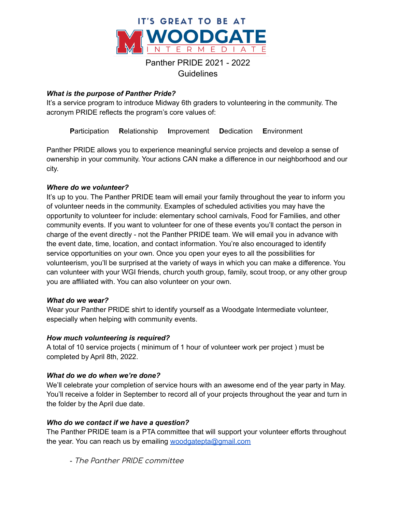

# Panther PRIDE 2021 - 2022

Guidelines

### *What is the purpose of Panther Pride?*

It's a service program to introduce Midway 6th graders to volunteering in the community. The acronym PRIDE reflects the program's core values of:

**P**articipation **R**elationship **I**mprovement **D**edication **E**nvironment

Panther PRIDE allows you to experience meaningful service projects and develop a sense of ownership in your community. Your actions CAN make a difference in our neighborhood and our city.

#### *Where do we volunteer?*

It's up to you. The Panther PRIDE team will email your family throughout the year to inform you of volunteer needs in the community. Examples of scheduled activities you may have the opportunity to volunteer for include: elementary school carnivals, Food for Families, and other community events. If you want to volunteer for one of these events you'll contact the person in charge of the event directly - not the Panther PRIDE team. We will email you in advance with the event date, time, location, and contact information. You're also encouraged to identify service opportunities on your own. Once you open your eyes to all the possibilities for volunteerism, you'll be surprised at the variety of ways in which you can make a difference. You can volunteer with your WGI friends, church youth group, family, scout troop, or any other group you are affiliated with. You can also volunteer on your own.

#### *What do we wear?*

Wear your Panther PRIDE shirt to identify yourself as a Woodgate Intermediate volunteer, especially when helping with community events.

#### *How much volunteering is required?*

A total of 10 service projects ( minimum of 1 hour of volunteer work per project ) must be completed by April 8th, 2022.

#### *What do we do when we're done?*

We'll celebrate your completion of service hours with an awesome end of the year party in May. You'll receive a folder in September to record all of your projects throughout the year and turn in the folder by the April due date.

#### *Who do we contact if we have a question?*

The Panther PRIDE team is a PTA committee that will support your volunteer efforts throughout the year. You can reach us by emailing [woodgatepta@gmail.com](mailto:woodgatepta@gmail.com)

- The Panther PRIDE committee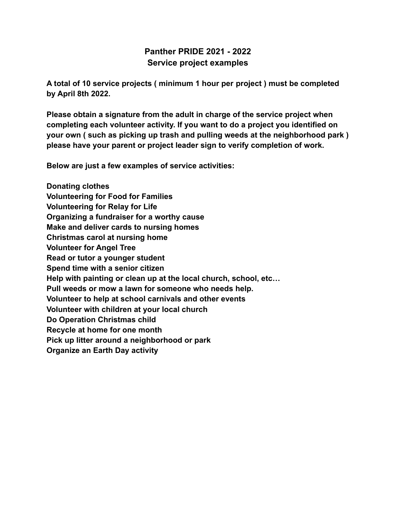# **Panther PRIDE 2021 - 2022 Service project examples**

**A total of 10 service projects ( minimum 1 hour per project ) must be completed by April 8th 2022.**

**Please obtain a signature from the adult in charge of the service project when completing each volunteer activity. If you want to do a project you identified on your own ( such as picking up trash and pulling weeds at the neighborhood park ) please have your parent or project leader sign to verify completion of work.**

**Below are just a few examples of service activities:**

**Donating clothes Volunteering for Food for Families Volunteering for Relay for Life Organizing a fundraiser for a worthy cause Make and deliver cards to nursing homes Christmas carol at nursing home Volunteer for Angel Tree Read or tutor a younger student Spend time with a senior citizen Help with painting or clean up at the local church, school, etc… Pull weeds or mow a lawn for someone who needs help. Volunteer to help at school carnivals and other events Volunteer with children at your local church Do Operation Christmas child Recycle at home for one month Pick up litter around a neighborhood or park Organize an Earth Day activity**